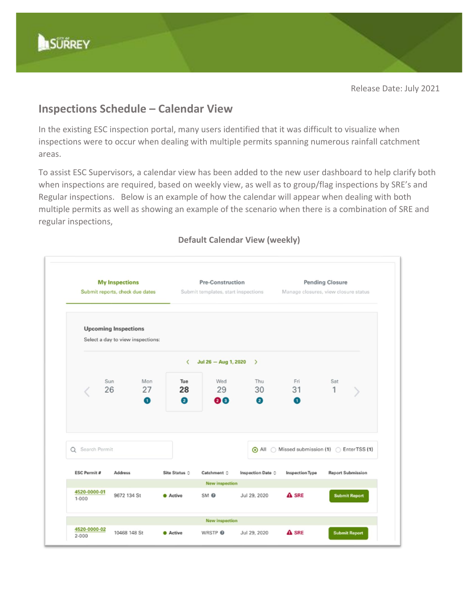

Release Date: July 2021

## **Inspections Schedule – Calendar View**

In the existing ESC inspection portal, many users identified that it was difficult to visualize when inspections were to occur when dealing with multiple permits spanning numerous rainfall catchment areas.

To assist ESC Supervisors, a calendar view has been added to the new user dashboard to help clarify both when inspections are required, based on weekly view, as well as to group/flag inspections by SRE's and Regular inspections. Below is an example of how the calendar will appear when dealing with both multiple permits as well as showing an example of the scenario when there is a combination of SRE and regular inspections,

## **My Inspections Pending Closure** Pre-Construction Submit reports, check due dates Submit templates, start inspections Manage closures, view closure status **Upcoming Inspections** Select a day to view inspections:  $\langle$  Jul 26 - Aug 1, 2020 > Mon Fri Sun Tue Wed Thu Sat 27 28 29 26 30 31 1 90 Ø  $\bullet$  $\bullet$  $\bullet$ Q Search Permit All Missed submission (1) EnterTSS (1) **ESC Permit #** Site Status 0 Inspection Date  $\Diamond$ **Report Submission** Address Catchment C **Inspection Type New inspectio** 4520-0000-01 9672 134 St **Active** SM<sub>®</sub> Jul 29, 2020 A SRE mit Re  $1 - 000$ **New inspection** 4520-0000-02 10468 148 St  $\triangle$  SRE **O** Active WRSTP<sup>O</sup> Jul 29, 2020 ubmit Report  $2 - 000$

## **Default Calendar View (weekly)**